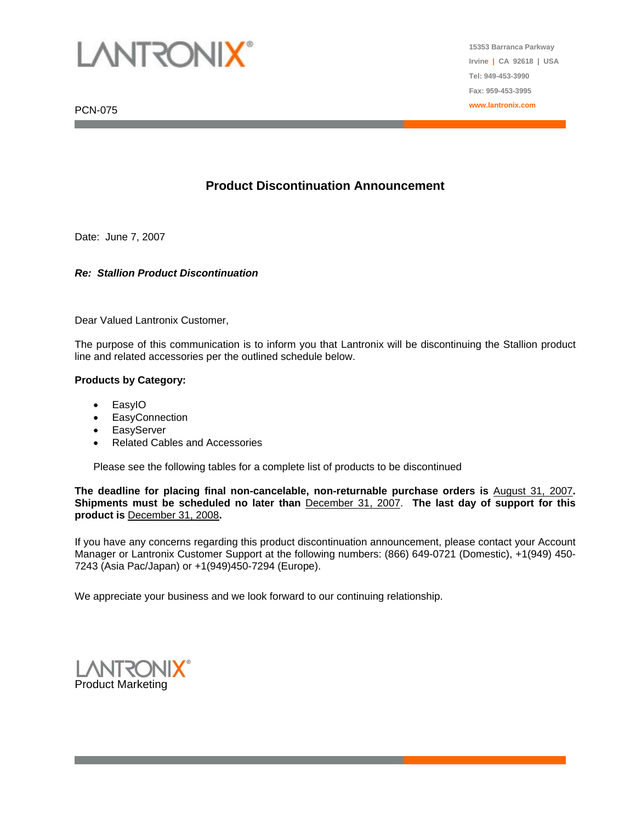

PCN-075

**15353 Barranca Parkway Irvine | CA 92618 | USA Tel: 949-453-3990 Fax: 959-453-3995 www.lantronix.com**

## **Product Discontinuation Announcement**

Date: June 7, 2007

#### *Re: Stallion Product Discontinuation*

Dear Valued Lantronix Customer,

The purpose of this communication is to inform you that Lantronix will be discontinuing the Stallion product line and related accessories per the outlined schedule below.

#### **Products by Category:**

- EasyIO
- EasyConnection
- **EasyServer**
- Related Cables and Accessories

Please see the following tables for a complete list of products to be discontinued

**The deadline for placing final non-cancelable, non-returnable purchase orders is** August 31, 2007**. Shipments must be scheduled no later than** December 31, 2007. **The last day of support for this product is** December 31, 2008**.** 

If you have any concerns regarding this product discontinuation announcement, please contact your Account Manager or Lantronix Customer Support at the following numbers: (866) 649-0721 (Domestic), +1(949) 450- 7243 (Asia Pac/Japan) or +1(949)450-7294 (Europe).

We appreciate your business and we look forward to our continuing relationship.